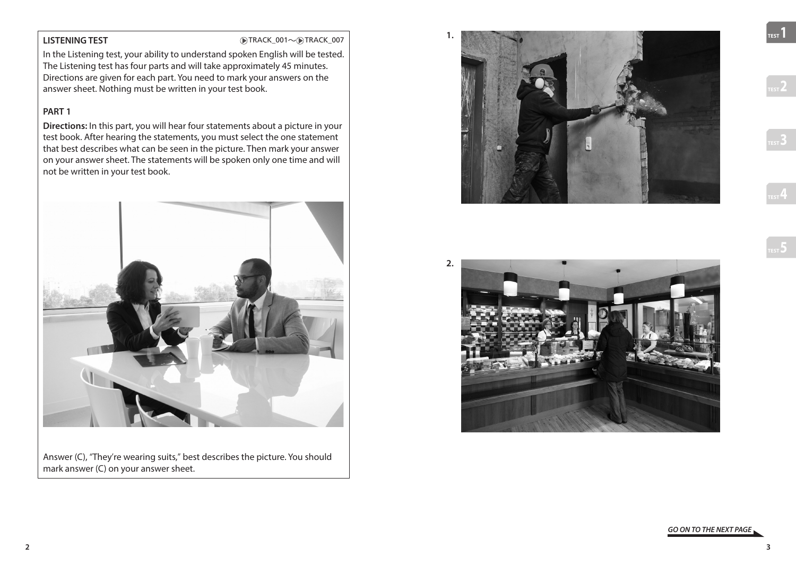**LISTENING TEST** TRACK\_001~ TRACK\_001~ TRACK\_007

In the Listening test, your ability to understand spoken English will be tested. The Listening test has four parts and will take approximately 45 minutes. Directions are given for each part. You need to mark your answers on the answer sheet. Nothing must be written in your test book.

# **PART 1**

**Directions:** In this part, you will hear four statements about a picture in your test book. After hearing the statements, you must select the one statement that best describes what can be seen in the picture. Then mark your answer on your answer sheet. The statements will be spoken only one time and will not be written in your test book.



Answer (C), "They're wearing suits," best describes the picture. You should mark answer (C) on your answer sheet.





**TEST2**

**TEST1**

*GO ON TO THE NEXT PAGE*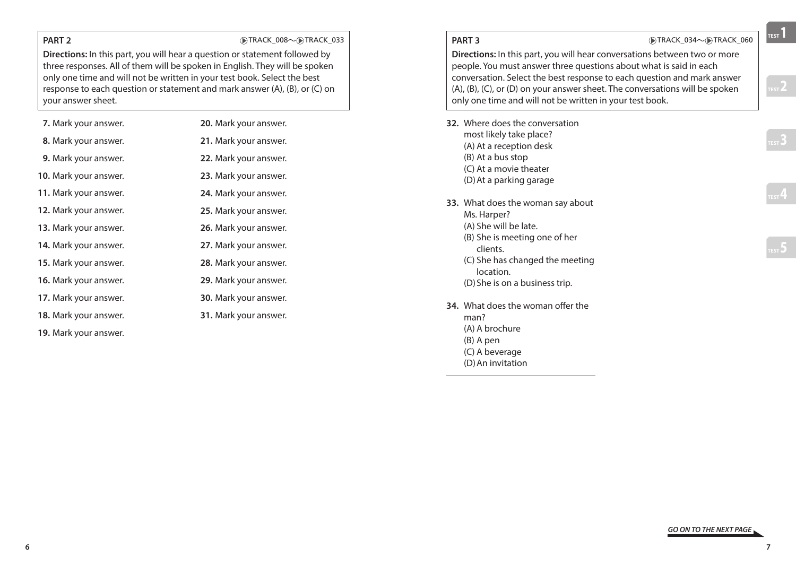## **PART 2 DENSITY DENSITY DENSITY DENSITY DENSITY DENSITY DENSITY DENSITY DENSITY DENSITY DENSITY DENSITY DENSITY DENSITY DENSITY DENSITY DENSITY DENSITY DENSITY DENSITY DENSITY DE**

**Directions:** In this part, you will hear a question or statement followed by three responses. All of them will be spoken in English. They will be spoken only one time and will not be written in your test book. Select the best response to each question or statement and mark answer (A), (B), or (C) on your answer sheet.

| 7. Mark your answer.         | <b>20.</b> Mark your answer. |
|------------------------------|------------------------------|
| 8. Mark your answer.         | 21. Mark your answer.        |
| 9. Mark your answer.         | 22. Mark your answer.        |
| <b>10.</b> Mark your answer. | 23. Mark your answer.        |
| 11. Mark your answer.        | 24. Mark your answer.        |
| 12. Mark your answer.        | 25. Mark your answer.        |
| <b>13.</b> Mark your answer. | 26. Mark your answer.        |
| 14. Mark your answer.        | 27. Mark your answer.        |
| <b>15.</b> Mark your answer. | 28. Mark your answer.        |
| 16. Mark your answer.        | 29. Mark your answer.        |
| <b>17.</b> Mark your answer. | <b>30.</b> Mark your answer. |
| 18. Mark your answer.        | 31. Mark your answer.        |
| <b>19.</b> Mark your answer. |                              |

|                                                                                                                                                                                                                                                                                                                                                                                   | PART <sub>3</sub>                                                                                                                                                                                        | DTRACK_034~DTRACK_060 |  |
|-----------------------------------------------------------------------------------------------------------------------------------------------------------------------------------------------------------------------------------------------------------------------------------------------------------------------------------------------------------------------------------|----------------------------------------------------------------------------------------------------------------------------------------------------------------------------------------------------------|-----------------------|--|
| Directions: In this part, you will hear conversations between two or more<br>people. You must answer three questions about what is said in each<br>conversation. Select the best response to each question and mark answer<br>$(A)$ , $(B)$ , $(C)$ , or $(D)$ on your answer sheet. The conversations will be spoken<br>only one time and will not be written in your test book. |                                                                                                                                                                                                          |                       |  |
|                                                                                                                                                                                                                                                                                                                                                                                   | 32. Where does the conversation<br>most likely take place?<br>(A) At a reception desk<br>(B) At a bus stop<br>(C) At a movie theater<br>(D) At a parking garage                                          |                       |  |
|                                                                                                                                                                                                                                                                                                                                                                                   | 33. What does the woman say about<br>Ms. Harper?<br>(A) She will be late.<br>(B) She is meeting one of her<br>clients.<br>(C) She has changed the meeting<br>location.<br>(D) She is on a business trip. |                       |  |
|                                                                                                                                                                                                                                                                                                                                                                                   | <b>34.</b> What does the woman offer the<br>man?<br>(A) A brochure<br>(B) A pen<br>(C) A beverage<br>(D) An invitation                                                                                   |                       |  |

57